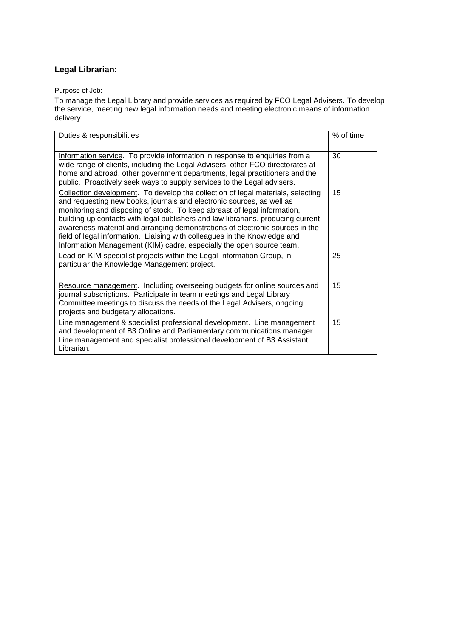## **Legal Librarian:**

Purpose of Job:

To manage the Legal Library and provide services as required by FCO Legal Advisers. To develop the service, meeting new legal information needs and meeting electronic means of information delivery.

| Duties & responsibilities                                                                                                                                                                                                                                                                                                                                                                                                                                                                                                                                     | % of time |
|---------------------------------------------------------------------------------------------------------------------------------------------------------------------------------------------------------------------------------------------------------------------------------------------------------------------------------------------------------------------------------------------------------------------------------------------------------------------------------------------------------------------------------------------------------------|-----------|
| Information service. To provide information in response to enquiries from a<br>wide range of clients, including the Legal Advisers, other FCO directorates at<br>home and abroad, other government departments, legal practitioners and the<br>public. Proactively seek ways to supply services to the Legal advisers.                                                                                                                                                                                                                                        | 30        |
| Collection development. To develop the collection of legal materials, selecting<br>and requesting new books, journals and electronic sources, as well as<br>monitoring and disposing of stock. To keep abreast of legal information,<br>building up contacts with legal publishers and law librarians, producing current<br>awareness material and arranging demonstrations of electronic sources in the<br>field of legal information. Liaising with colleagues in the Knowledge and<br>Information Management (KIM) cadre, especially the open source team. | 15        |
| Lead on KIM specialist projects within the Legal Information Group, in<br>particular the Knowledge Management project.                                                                                                                                                                                                                                                                                                                                                                                                                                        | 25        |
| Resource management. Including overseeing budgets for online sources and<br>journal subscriptions. Participate in team meetings and Legal Library<br>Committee meetings to discuss the needs of the Legal Advisers, ongoing<br>projects and budgetary allocations.                                                                                                                                                                                                                                                                                            | 15        |
| Line management & specialist professional development. Line management<br>and development of B3 Online and Parliamentary communications manager.<br>Line management and specialist professional development of B3 Assistant<br>Librarian.                                                                                                                                                                                                                                                                                                                     | 15        |